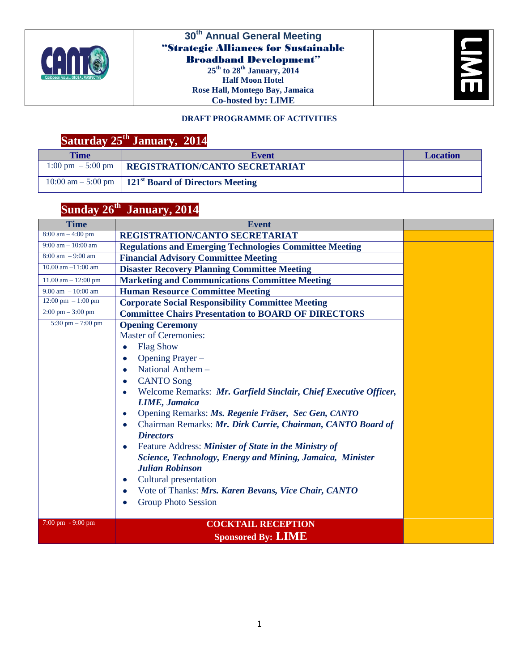

#### **30th Annual General Meeting** "Strategic Alliances for Sustainable Broadband Development" **25th to 28th January, 2014 Half Moon Hotel Rose Hall, Montego Bay, Jamaica**

**Co-hosted by: LIME**



#### **DRAFT PROGRAMME OF ACTIVITIES**

# **Saturday 25th January, 2014**

| <b>Time</b> | <b>Event</b>                                                           | <b>Location</b> |
|-------------|------------------------------------------------------------------------|-----------------|
|             | $1:00 \text{ pm } -5:00 \text{ pm }$ REGISTRATION/CANTO SECRETARIAT    |                 |
|             | $10:00$ am $- 5:00$ pm $\parallel 121^{st}$ Board of Directors Meeting |                 |

## **Sunday 26th January, 2014**

| <b>Time</b>                           | <b>Event</b>                                                                                                                                                                                                                                                                                                                                                                                                                                                                                                                                                                                                                                                                                                                                                      |  |
|---------------------------------------|-------------------------------------------------------------------------------------------------------------------------------------------------------------------------------------------------------------------------------------------------------------------------------------------------------------------------------------------------------------------------------------------------------------------------------------------------------------------------------------------------------------------------------------------------------------------------------------------------------------------------------------------------------------------------------------------------------------------------------------------------------------------|--|
| $8:00$ am $-4:00$ pm                  | REGISTRATION/CANTO SECRETARIAT                                                                                                                                                                                                                                                                                                                                                                                                                                                                                                                                                                                                                                                                                                                                    |  |
| $9:00 \text{ am} - 10:00 \text{ am}$  | <b>Regulations and Emerging Technologies Committee Meeting</b>                                                                                                                                                                                                                                                                                                                                                                                                                                                                                                                                                                                                                                                                                                    |  |
| $8:00 \text{ am } -9:00 \text{ am}$   | <b>Financial Advisory Committee Meeting</b>                                                                                                                                                                                                                                                                                                                                                                                                                                                                                                                                                                                                                                                                                                                       |  |
| 10.00 am $-11:00$ am                  | <b>Disaster Recovery Planning Committee Meeting</b>                                                                                                                                                                                                                                                                                                                                                                                                                                                                                                                                                                                                                                                                                                               |  |
| $11.00$ am $- 12:00$ pm               | <b>Marketing and Communications Committee Meeting</b>                                                                                                                                                                                                                                                                                                                                                                                                                                                                                                                                                                                                                                                                                                             |  |
| $9.00$ am $-10:00$ am                 | <b>Human Resource Committee Meeting</b>                                                                                                                                                                                                                                                                                                                                                                                                                                                                                                                                                                                                                                                                                                                           |  |
| $12:00 \text{ pm } -1:00 \text{ pm }$ | <b>Corporate Social Responsibility Committee Meeting</b>                                                                                                                                                                                                                                                                                                                                                                                                                                                                                                                                                                                                                                                                                                          |  |
| $2:00 \text{ pm} - 3:00 \text{ pm}$   | <b>Committee Chairs Presentation to BOARD OF DIRECTORS</b>                                                                                                                                                                                                                                                                                                                                                                                                                                                                                                                                                                                                                                                                                                        |  |
| $5:30$ pm $- 7:00$ pm                 | <b>Opening Ceremony</b><br><b>Master of Ceremonies:</b><br><b>Flag Show</b><br>$\bullet$<br>Opening Prayer -<br>۰<br>National Anthem -<br>$\bullet$<br><b>CANTO Song</b><br>$\bullet$<br>Welcome Remarks: Mr. Garfield Sinclair, Chief Executive Officer,<br><b>LIME</b> , Jamaica<br>Opening Remarks: Ms. Regenie Fräser, Sec Gen, CANTO<br>$\bullet$<br>Chairman Remarks: Mr. Dirk Currie, Chairman, CANTO Board of<br>$\bullet$<br><b>Directors</b><br>Feature Address: Minister of State in the Ministry of<br>$\bullet$<br>Science, Technology, Energy and Mining, Jamaica, Minister<br><b>Julian Robinson</b><br>Cultural presentation<br>$\bullet$<br>Vote of Thanks: Mrs. Karen Bevans, Vice Chair, CANTO<br>۰<br><b>Group Photo Session</b><br>$\bullet$ |  |
| $7:00 \text{ pm} - 9:00 \text{ pm}$   | <b>COCKTAIL RECEPTION</b><br><b>Sponsored By: LIME</b>                                                                                                                                                                                                                                                                                                                                                                                                                                                                                                                                                                                                                                                                                                            |  |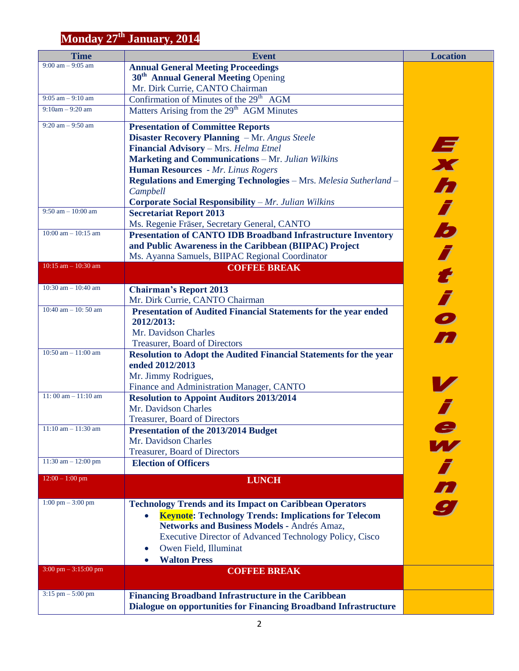## **Monday 27th January, 2014**

| <b>Time</b>                            | <b>Event</b>                                                             | <b>Location</b> |
|----------------------------------------|--------------------------------------------------------------------------|-----------------|
| $9:00$ am $-9:05$ am                   | <b>Annual General Meeting Proceedings</b>                                |                 |
|                                        | 30 <sup>th</sup> Annual General Meeting Opening                          |                 |
|                                        | Mr. Dirk Currie, CANTO Chairman                                          |                 |
| $9:05$ am $-9:10$ am                   | Confirmation of Minutes of the 29 <sup>th</sup> AGM                      |                 |
| $9:10am - 9:20am$                      | Matters Arising from the 29 <sup>th</sup> AGM Minutes                    |                 |
| $9:20$ am $-9:50$ am                   | <b>Presentation of Committee Reports</b>                                 |                 |
|                                        | <b>Disaster Recovery Planning</b> - Mr. Angus Steele                     |                 |
|                                        | Financial Advisory - Mrs. Helma Etnel                                    |                 |
|                                        | <b>Marketing and Communications - Mr. Julian Wilkins</b>                 | Exh             |
|                                        | Human Resources - Mr. Linus Rogers                                       |                 |
|                                        | <b>Regulations and Emerging Technologies</b> - Mrs. Melesia Sutherland - |                 |
|                                        | Campbell                                                                 |                 |
|                                        | <b>Corporate Social Responsibility</b> $-Mr$ . Julian Wilkins            |                 |
| $9:50$ am $-10:00$ am                  | <b>Secretariat Report 2013</b>                                           |                 |
|                                        |                                                                          |                 |
| $10:00$ am $- 10:15$ am                | Ms. Regenie Fräser, Secretary General, CANTO                             | b               |
|                                        | <b>Presentation of CANTO IDB Broadband Infrastructure Inventory</b>      |                 |
|                                        | and Public Awareness in the Caribbean (BIIPAC) Project                   |                 |
| $10:15$ am $- 10:30$ am                | Ms. Ayanna Samuels, BIIPAC Regional Coordinator                          |                 |
|                                        | <b>COFFEE BREAK</b>                                                      | i tio           |
| 10:30 am $-$ 10:40 am                  | <b>Chairman's Report 2013</b>                                            |                 |
|                                        | Mr. Dirk Currie, CANTO Chairman                                          |                 |
| 10:40 am $-$ 10:50 am                  | <b>Presentation of Audited Financial Statements for the year ended</b>   |                 |
|                                        | 2012/2013:                                                               |                 |
|                                        | Mr. Davidson Charles                                                     |                 |
|                                        | <b>Treasurer, Board of Directors</b>                                     |                 |
| $10:50$ am $- 11:00$ am                | <b>Resolution to Adopt the Audited Financial Statements for the year</b> |                 |
|                                        | ended 2012/2013                                                          |                 |
|                                        | Mr. Jimmy Rodrigues,                                                     |                 |
|                                        | Finance and Administration Manager, CANTO                                |                 |
| $11:00$ am $-11:10$ am                 | <b>Resolution to Appoint Auditors 2013/2014</b>                          |                 |
|                                        | Mr. Davidson Charles                                                     |                 |
|                                        | Treasurer, Board of Directors                                            |                 |
| $11:10$ am $- 11:30$ am                | Presentation of the 2013/2014 Budget                                     |                 |
|                                        | Mr. Davidson Charles                                                     |                 |
|                                        | Treasurer, Board of Directors                                            |                 |
| 11:30 am $- 12:00$ pm                  | <b>Election of Officers</b>                                              |                 |
|                                        |                                                                          |                 |
| $12:00 - 1:00$ pm                      | <b>LUNCH</b>                                                             | w<br>ing        |
|                                        |                                                                          |                 |
| $1:00 \text{ pm} - 3:00 \text{ pm}$    | <b>Technology Trends and its Impact on Caribbean Operators</b>           |                 |
|                                        | <b>Keynote: Technology Trends: Implications for Telecom</b>              |                 |
|                                        | Networks and Business Models - Andrés Amaz,                              |                 |
|                                        | Executive Director of Advanced Technology Policy, Cisco                  |                 |
|                                        | Owen Field, Illuminat<br>$\bullet$                                       |                 |
|                                        | <b>Walton Press</b>                                                      |                 |
| $3:00 \text{ pm} - 3:15:00 \text{ pm}$ | <b>COFFEE BREAK</b>                                                      |                 |
|                                        |                                                                          |                 |
| $3:15$ pm $- 5:00$ pm                  | <b>Financing Broadband Infrastructure in the Caribbean</b>               |                 |
|                                        | <b>Dialogue on opportunities for Financing Broadband Infrastructure</b>  |                 |
|                                        |                                                                          |                 |